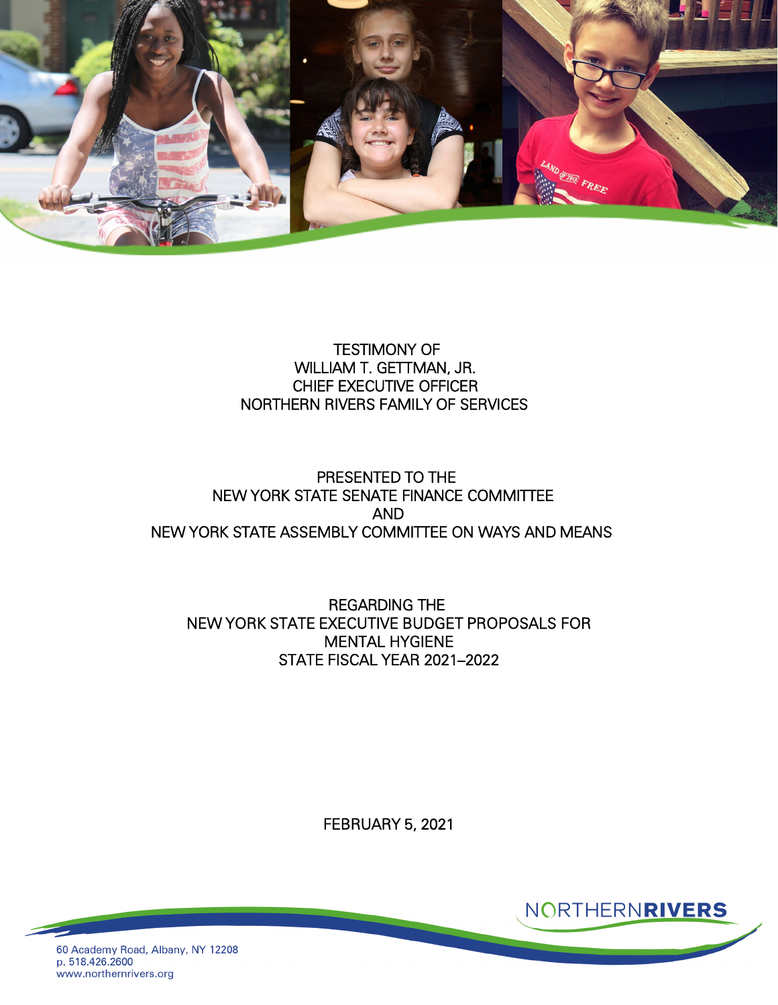

## TESTIMONY OF WILLIAM T. GETTMAN, JR. CHIEF EXECUTIVE OFFICER NORTHERN RIVERS FAMILY OF SERVICES

## PRESENTED TO THE NEW YORK STATE SENATE FINANCE COMMITTEE AND NEW YORK STATE ASSEMBLY COMMITTEE ON WAYS AND MEANS

REGARDING THE NEW YORK STATE EXECUTIVE BUDGET PROPOSALS FOR MENTAL HYGIENE STATE FISCAL YEAR 2021–2022

FEBRUARY 5, 2021



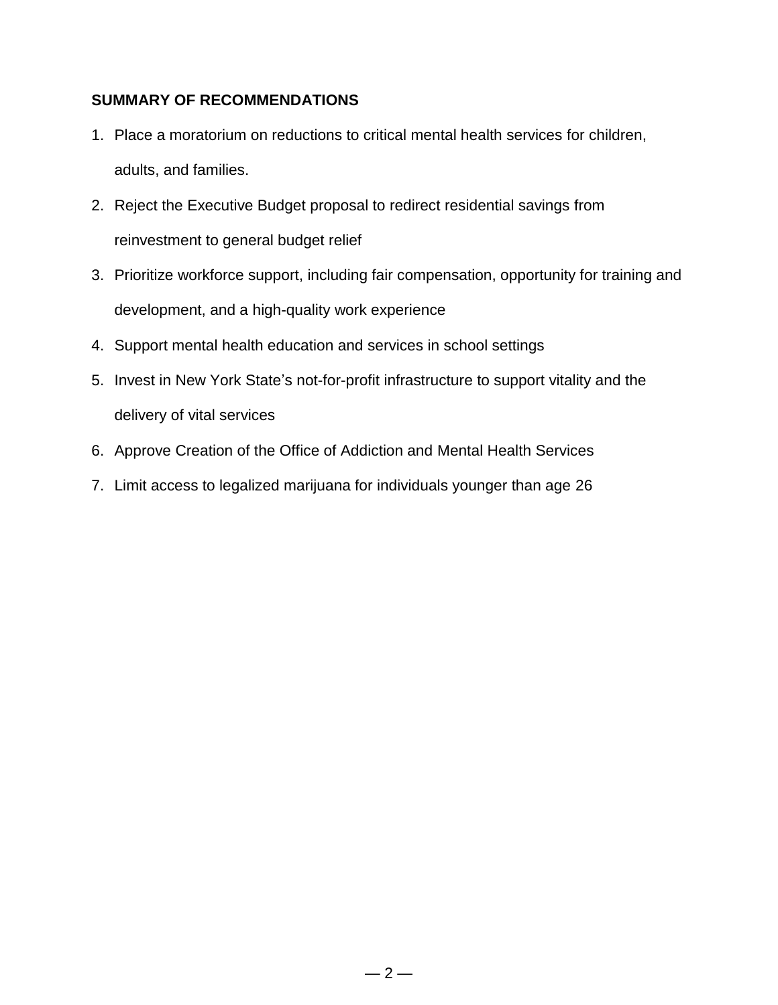### **SUMMARY OF RECOMMENDATIONS**

- 1. Place a moratorium on reductions to critical mental health services for children, adults, and families.
- 2. Reject the Executive Budget proposal to redirect residential savings from reinvestment to general budget relief
- 3. Prioritize workforce support, including fair compensation, opportunity for training and development, and a high-quality work experience
- 4. Support mental health education and services in school settings
- 5. Invest in New York State's not-for-profit infrastructure to support vitality and the delivery of vital services
- 6. Approve Creation of the Office of Addiction and Mental Health Services
- 7. Limit access to legalized marijuana for individuals younger than age 26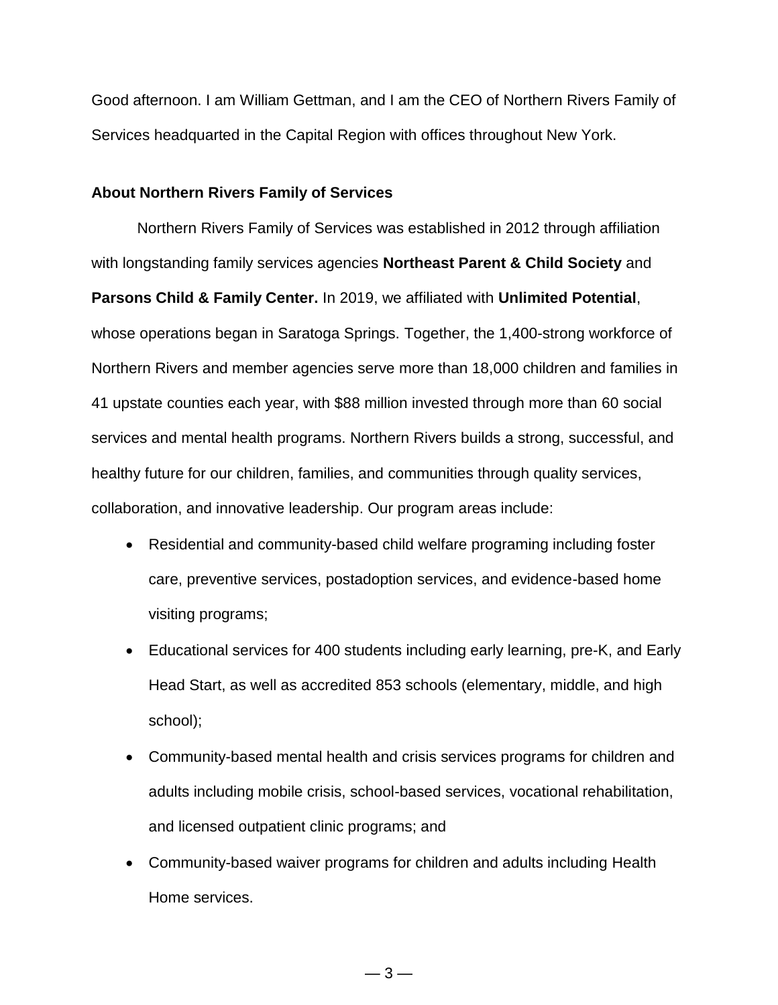Good afternoon. I am William Gettman, and I am the CEO of Northern Rivers Family of Services headquarted in the Capital Region with offices throughout New York.

### **About Northern Rivers Family of Services**

Northern Rivers Family of Services was established in 2012 through affiliation with longstanding family services agencies **Northeast Parent & Child Society** and **Parsons Child & Family Center.** In 2019, we affiliated with **Unlimited Potential**, whose operations began in Saratoga Springs. Together, the 1,400-strong workforce of Northern Rivers and member agencies serve more than 18,000 children and families in 41 upstate counties each year, with \$88 million invested through more than 60 social services and mental health programs. Northern Rivers builds a strong, successful, and healthy future for our children, families, and communities through quality services, collaboration, and innovative leadership. Our program areas include:

- Residential and community-based child welfare programing including foster care, preventive services, postadoption services, and evidence-based home visiting programs;
- Educational services for 400 students including early learning, pre-K, and Early Head Start, as well as accredited 853 schools (elementary, middle, and high school);
- Community-based mental health and crisis services programs for children and adults including mobile crisis, school-based services, vocational rehabilitation, and licensed outpatient clinic programs; and
- Community-based waiver programs for children and adults including Health Home services.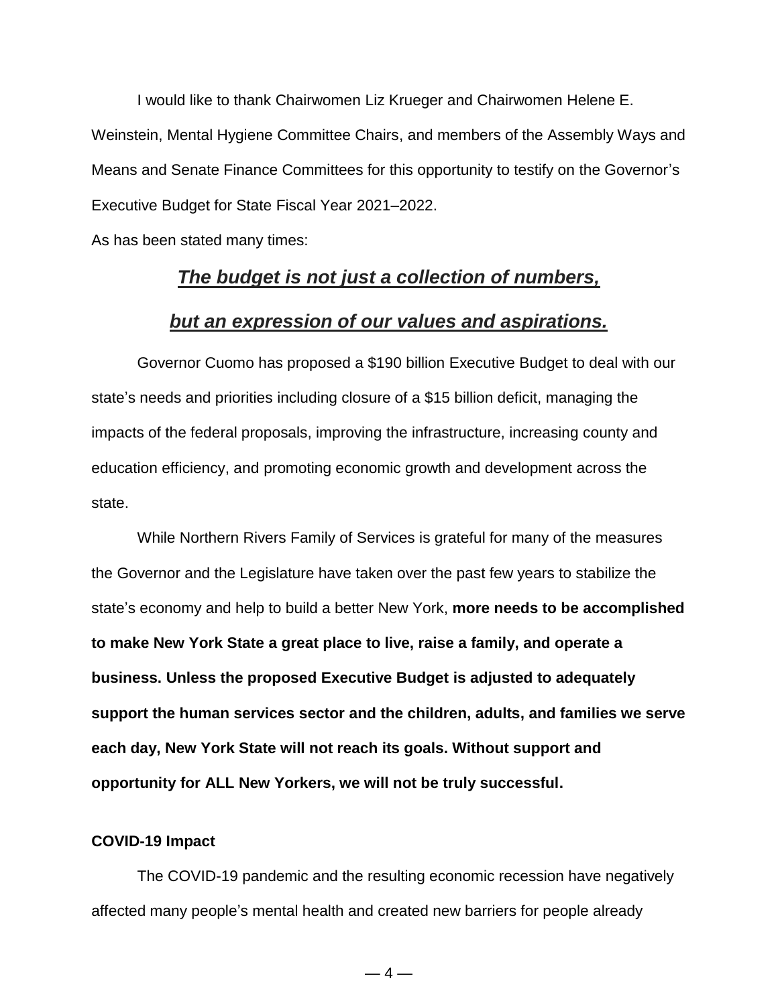I would like to thank Chairwomen Liz Krueger and Chairwomen Helene E. Weinstein, Mental Hygiene Committee Chairs, and members of the Assembly Ways and Means and Senate Finance Committees for this opportunity to testify on the Governor's Executive Budget for State Fiscal Year 2021–2022.

As has been stated many times:

## *[The budget is not just a collection of numbers,](https://www.brainyquote.com/quotes/jacob_lew_442942)*

## *[but an expression of our values and aspirations.](https://www.brainyquote.com/quotes/jacob_lew_442942)*

Governor Cuomo has proposed a \$190 billion Executive Budget to deal with our state's needs and priorities including closure of a \$15 billion deficit, managing the impacts of the federal proposals, improving the infrastructure, increasing county and education efficiency, and promoting economic growth and development across the state.

While Northern Rivers Family of Services is grateful for many of the measures the Governor and the Legislature have taken over the past few years to stabilize the state's economy and help to build a better New York, **more needs to be accomplished to make New York State a great place to live, raise a family, and operate a business. Unless the proposed Executive Budget is adjusted to adequately support the human services sector and the children, adults, and families we serve each day, New York State will not reach its goals. Without support and opportunity for ALL New Yorkers, we will not be truly successful.**

### **COVID-19 Impact**

The COVID-19 pandemic and the resulting economic recession have negatively affected many people's mental health and created new barriers for people already

 $-4-$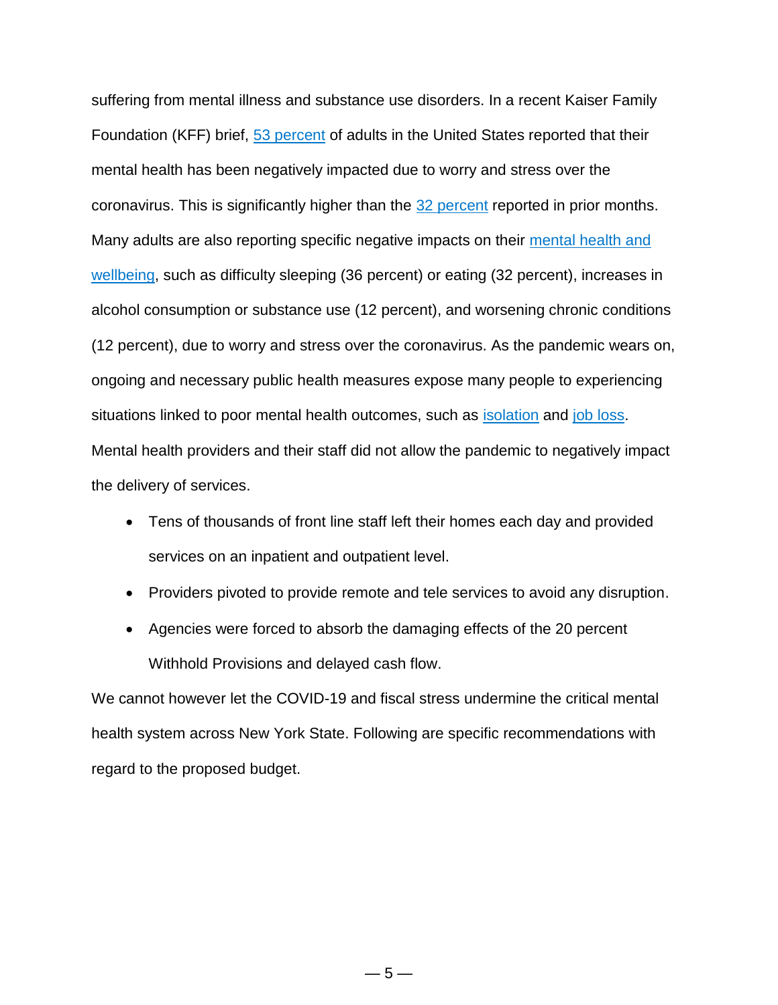suffering from mental illness and substance use disorders. In a recent Kaiser Family Foundation (KFF) brief, 53 [percent](https://www.kff.org/coronavirus-covid-19/report/kff-health-tracking-poll-july-2020/) of adults in the United States reported that their mental health has been negatively impacted due to worry and stress over the coronavirus. This is significantly higher than the 32 [percent](https://www.kff.org/coronavirus-covid-19/poll-finding/kff-coronavirus-poll-march-2020/) reported in prior months. Many adults are also reporting specific negative impacts on their [mental](https://www.kff.org/coronavirus-covid-19/report/kff-health-tracking-poll-july-2020/) health and [wellbeing,](https://www.kff.org/coronavirus-covid-19/report/kff-health-tracking-poll-july-2020/) such as difficulty sleeping (36 percent) or eating (32 percent), increases in alcohol consumption or substance use (12 percent), and worsening chronic conditions (12 percent), due to worry and stress over the coronavirus. As the pandemic wears on, ongoing and necessary public health measures expose many people to experiencing situations linked to poor mental health outcomes, such as [isolation](https://www.cdc.gov/mentalhealth/learn/index.htm) and job [loss.](https://www.cdc.gov/violenceprevention/suicide/riskprotectivefactors.html) Mental health providers and their staff did not allow the pandemic to negatively impact the delivery of services.

- Tens of thousands of front line staff left their homes each day and provided services on an inpatient and outpatient level.
- Providers pivoted to provide remote and tele services to avoid any disruption.
- Agencies were forced to absorb the damaging effects of the 20 percent Withhold Provisions and delayed cash flow.

We cannot however let the COVID-19 and fiscal stress undermine the critical mental health system across New York State. Following are specific recommendations with regard to the proposed budget.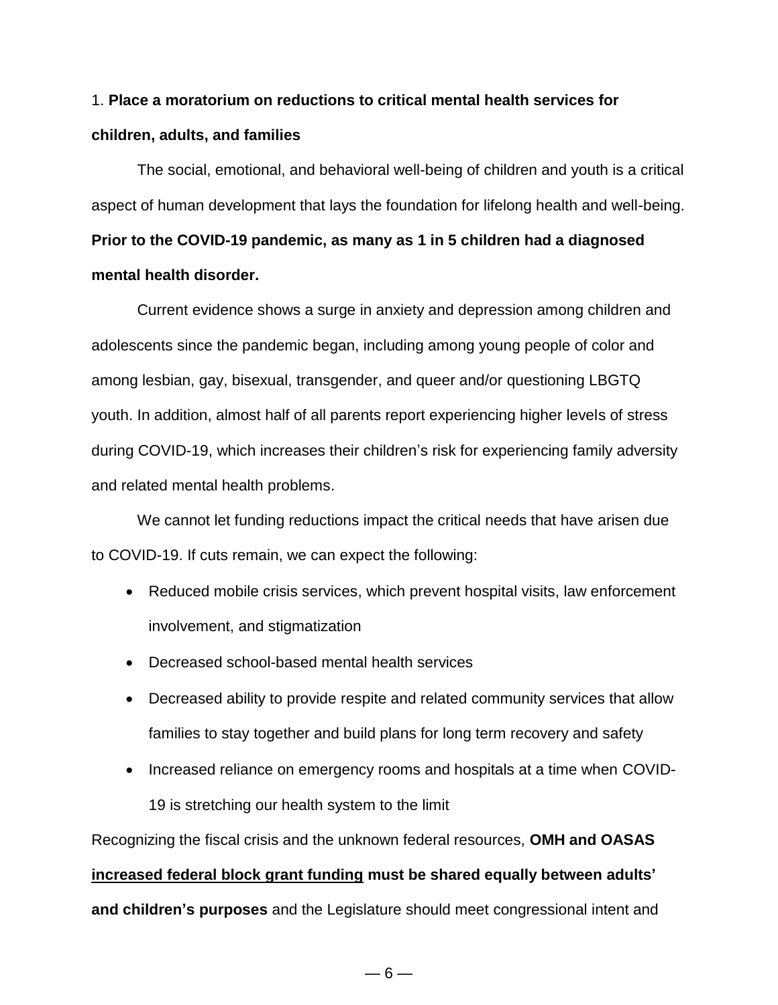# 1. **Place a moratorium on reductions to critical mental health services for children, adults, and families**

The social, emotional, and behavioral well-being of children and youth is a critical aspect of human development that lays the foundation for lifelong health and well-being. **Prior to the COVID-19 pandemic, as many as 1 in 5 children had a diagnosed mental health disorder.**

Current evidence shows a surge in anxiety and depression among children and adolescents since the pandemic began, including among young people of color and among lesbian, gay, bisexual, transgender, and queer and/or questioning LBGTQ youth. In addition, almost half of all parents report experiencing higher levels of stress during COVID-19, which increases their children's risk for experiencing family adversity and related mental health problems.

We cannot let funding reductions impact the critical needs that have arisen due to COVID-19. If cuts remain, we can expect the following:

- Reduced mobile crisis services, which prevent hospital visits, law enforcement involvement, and stigmatization
- Decreased school-based mental health services
- Decreased ability to provide respite and related community services that allow families to stay together and build plans for long term recovery and safety
- Increased reliance on emergency rooms and hospitals at a time when COVID-19 is stretching our health system to the limit

Recognizing the fiscal crisis and the unknown federal resources, **OMH and OASAS** 

# **increased federal block grant funding must be shared equally between adults' and children's purposes** and the Legislature should meet congressional intent and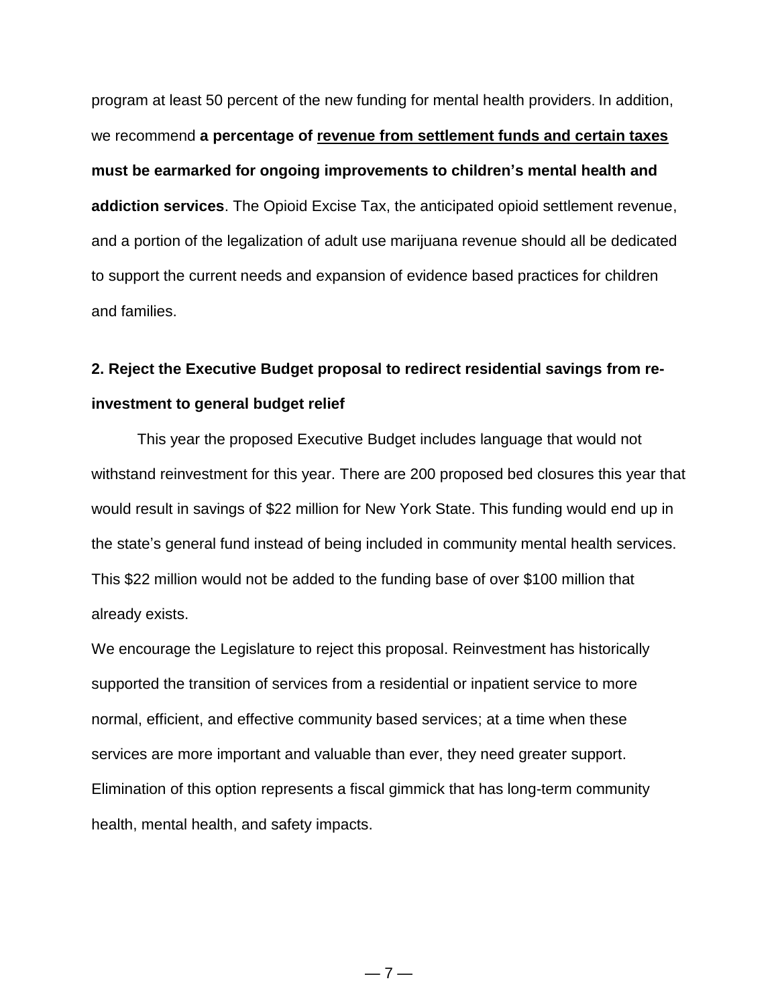program at least 50 percent of the new funding for mental health providers. In addition, we recommend **a percentage of revenue from settlement funds and certain taxes must be earmarked for ongoing improvements to children's mental health and addiction services**. The Opioid Excise Tax, the anticipated opioid settlement revenue, and a portion of the legalization of adult use marijuana revenue should all be dedicated to support the current needs and expansion of evidence based practices for children and families.

## **2. Reject the Executive Budget proposal to redirect residential savings from reinvestment to general budget relief**

This year the proposed Executive Budget includes language that would not withstand reinvestment for this year. There are 200 proposed bed closures this year that would result in savings of \$22 million for New York State. This funding would end up in the state's general fund instead of being included in community mental health services. This \$22 million would not be added to the funding base of over \$100 million that already exists.

We encourage the Legislature to reject this proposal. Reinvestment has historically supported the transition of services from a residential or inpatient service to more normal, efficient, and effective community based services; at a time when these services are more important and valuable than ever, they need greater support. Elimination of this option represents a fiscal gimmick that has long-term community health, mental health, and safety impacts.

 $-7-$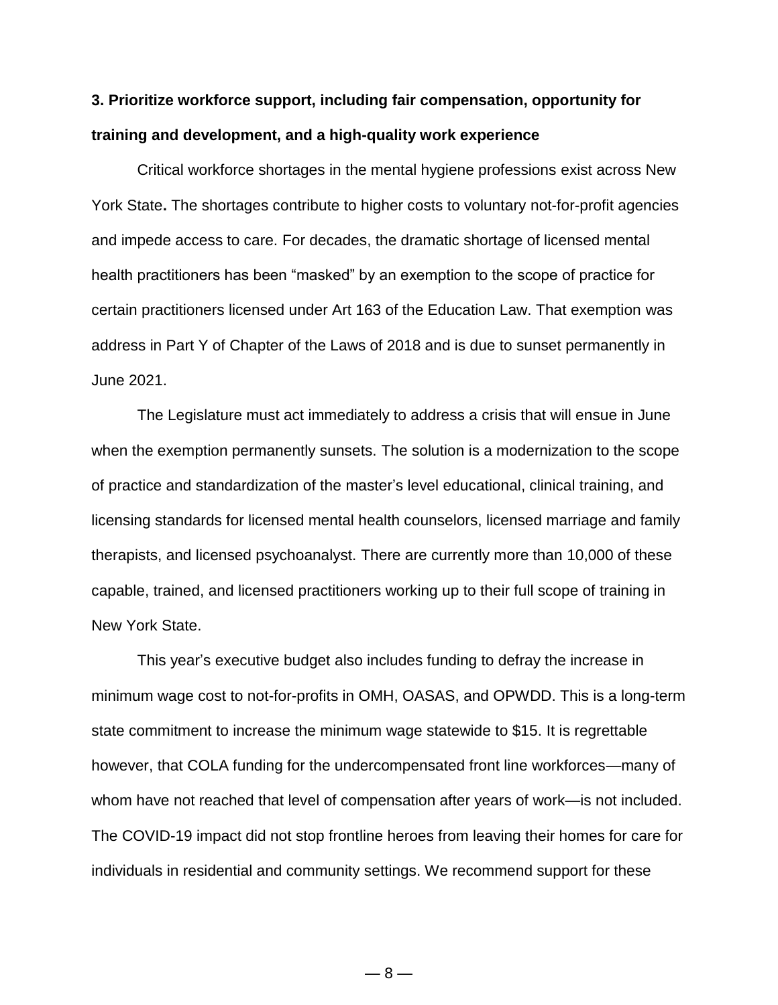## **3. Prioritize workforce support, including fair compensation, opportunity for training and development, and a high-quality work experience**

Critical workforce shortages in the mental hygiene professions exist across New York State**.** The shortages contribute to higher costs to voluntary not-for-profit agencies and impede access to care. For decades, the dramatic shortage of licensed mental health practitioners has been "masked" by an exemption to the scope of practice for certain practitioners licensed under Art 163 of the Education Law. That exemption was address in Part Y of Chapter of the Laws of 2018 and is due to sunset permanently in June 2021.

The Legislature must act immediately to address a crisis that will ensue in June when the exemption permanently sunsets. The solution is a modernization to the scope of practice and standardization of the master's level educational, clinical training, and licensing standards for licensed mental health counselors, licensed marriage and family therapists, and licensed psychoanalyst. There are currently more than 10,000 of these capable, trained, and licensed practitioners working up to their full scope of training in New York State.

This year's executive budget also includes funding to defray the increase in minimum wage cost to not-for-profits in OMH, OASAS, and OPWDD. This is a long-term state commitment to increase the minimum wage statewide to \$15. It is regrettable however, that COLA funding for the undercompensated front line workforces—many of whom have not reached that level of compensation after years of work—is not included. The COVID-19 impact did not stop frontline heroes from leaving their homes for care for individuals in residential and community settings. We recommend support for these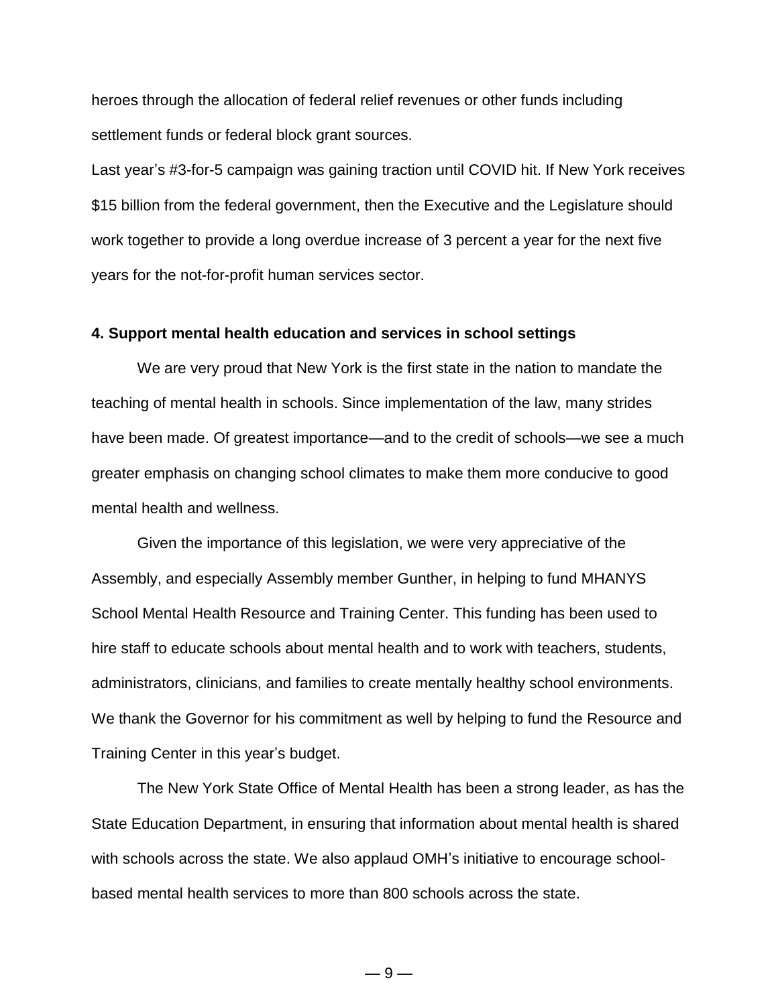heroes through the allocation of federal relief revenues or other funds including settlement funds or federal block grant sources.

Last year's #3-for-5 campaign was gaining traction until COVID hit. If New York receives \$15 billion from the federal government, then the Executive and the Legislature should work together to provide a long overdue increase of 3 percent a year for the next five years for the not-for-profit human services sector.

### **4. Support mental health education and services in school settings**

We are very proud that New York is the first state in the nation to mandate the teaching of mental health in schools. Since implementation of the law, many strides have been made. Of greatest importance—and to the credit of schools—we see a much greater emphasis on changing school climates to make them more conducive to good mental health and wellness.

Given the importance of this legislation, we were very appreciative of the Assembly, and especially Assembly member Gunther, in helping to fund MHANYS School Mental Health Resource and Training Center. This funding has been used to hire staff to educate schools about mental health and to work with teachers, students, administrators, clinicians, and families to create mentally healthy school environments. We thank the Governor for his commitment as well by helping to fund the Resource and Training Center in this year's budget.

The New York State Office of Mental Health has been a strong leader, as has the State Education Department, in ensuring that information about mental health is shared with schools across the state. We also applaud OMH's initiative to encourage schoolbased mental health services to more than 800 schools across the state.

— 9 —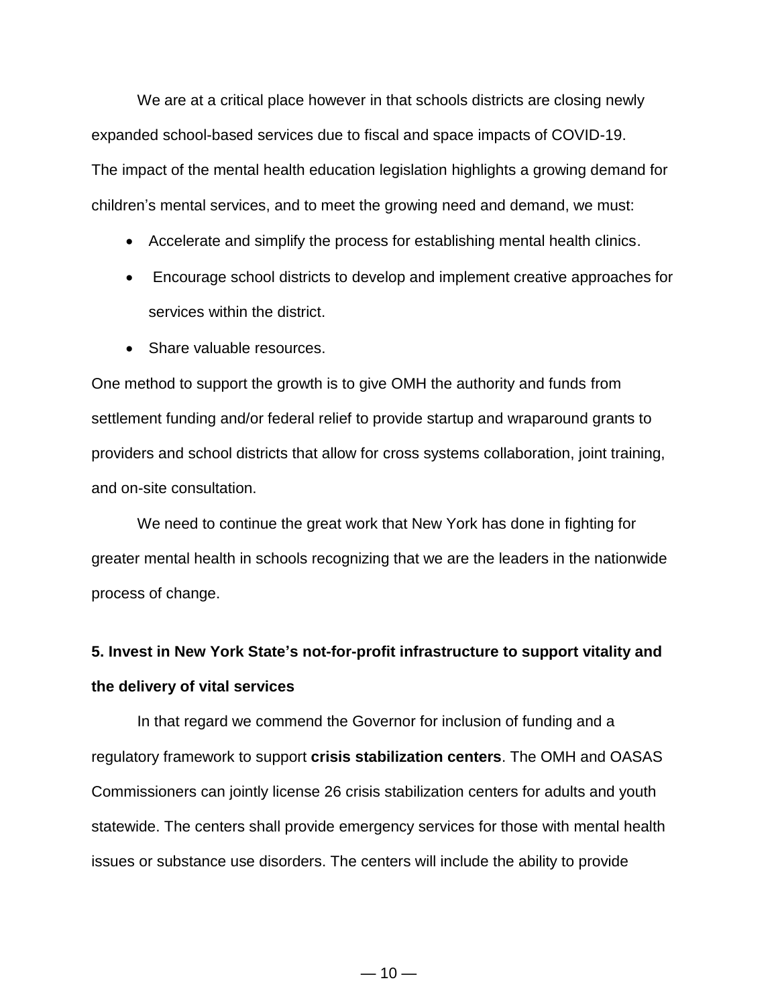We are at a critical place however in that schools districts are closing newly expanded school-based services due to fiscal and space impacts of COVID-19. The impact of the mental health education legislation highlights a growing demand for children's mental services, and to meet the growing need and demand, we must:

- Accelerate and simplify the process for establishing mental health clinics.
- Encourage school districts to develop and implement creative approaches for services within the district.
- Share valuable resources.

One method to support the growth is to give OMH the authority and funds from settlement funding and/or federal relief to provide startup and wraparound grants to providers and school districts that allow for cross systems collaboration, joint training, and on-site consultation.

We need to continue the great work that New York has done in fighting for greater mental health in schools recognizing that we are the leaders in the nationwide process of change.

# **5. Invest in New York State's not-for-profit infrastructure to support vitality and the delivery of vital services**

In that regard we commend the Governor for inclusion of funding and a regulatory framework to support **crisis stabilization centers**. The OMH and OASAS Commissioners can jointly license 26 crisis stabilization centers for adults and youth statewide. The centers shall provide emergency services for those with mental health issues or substance use disorders. The centers will include the ability to provide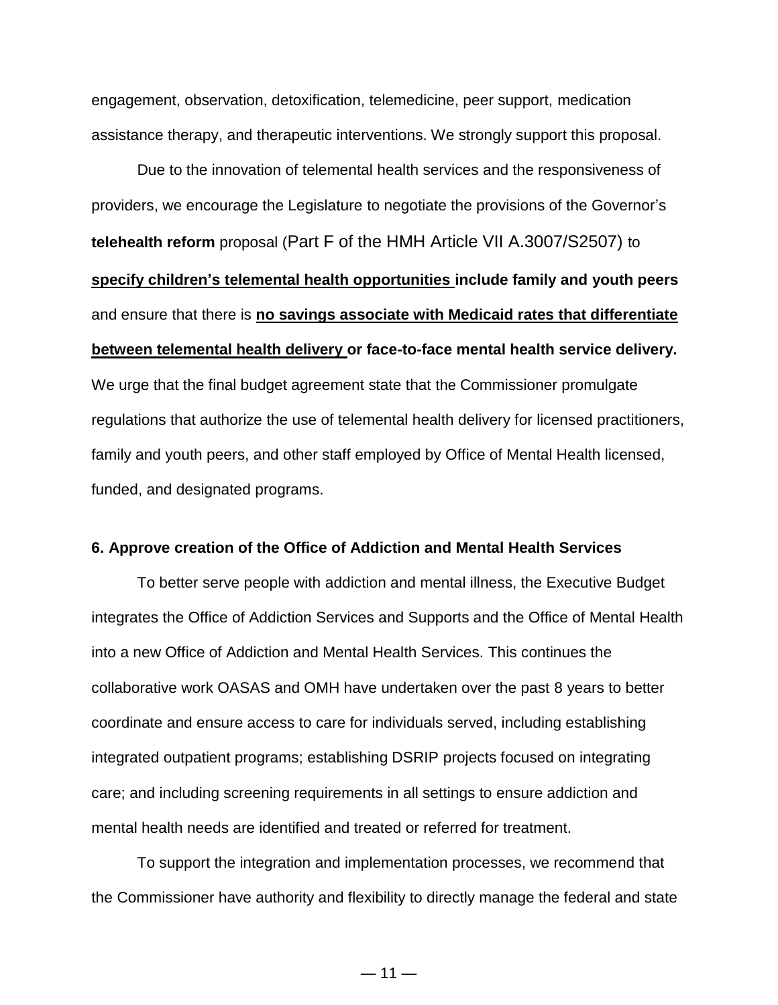engagement, observation, detoxification, telemedicine, peer support, medication assistance therapy, and therapeutic interventions. We strongly support this proposal.

Due to the innovation of telemental health services and the responsiveness of providers, we encourage the Legislature to negotiate the provisions of the Governor's **telehealth reform** proposal (Part F of the HMH Article VII A.3007/S2507) to **specify children's telemental health opportunities include family and youth peers**  and ensure that there is **no savings associate with Medicaid rates that differentiate between telemental health delivery or face-to-face mental health service delivery.**  We urge that the final budget agreement state that the Commissioner promulgate regulations that authorize the use of telemental health delivery for licensed practitioners, family and youth peers, and other staff employed by Office of Mental Health licensed, funded, and designated programs.

### **6. Approve creation of the Office of Addiction and Mental Health Services**

To better serve people with addiction and mental illness, the Executive Budget integrates the Office of Addiction Services and Supports and the Office of Mental Health into a new Office of Addiction and Mental Health Services. This continues the collaborative work OASAS and OMH have undertaken over the past 8 years to better coordinate and ensure access to care for individuals served, including establishing integrated outpatient programs; establishing DSRIP projects focused on integrating care; and including screening requirements in all settings to ensure addiction and mental health needs are identified and treated or referred for treatment.

To support the integration and implementation processes, we recommend that the Commissioner have authority and flexibility to directly manage the federal and state

 $-11-$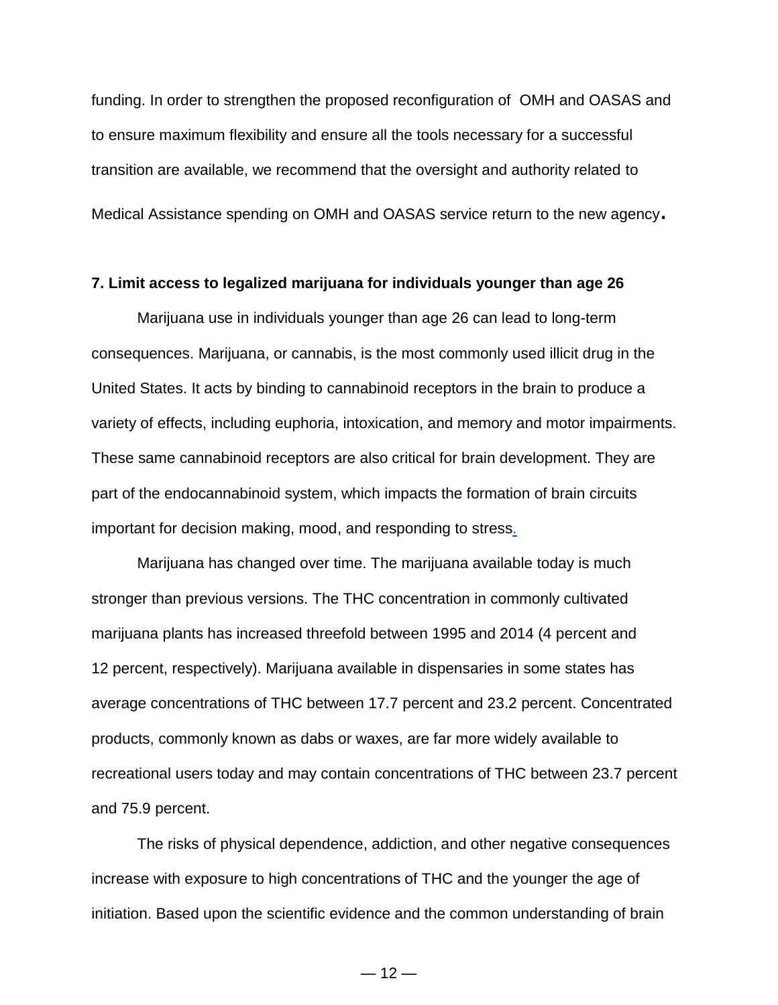funding. In order to strengthen the proposed reconfiguration of OMH and OASAS and to ensure maximum flexibility and ensure all the tools necessary for a successful transition are available, we recommend that the oversight and authority related to Medical Assistance spending on OMH and OASAS service return to the new agency.

#### **7. Limit access to legalized marijuana for individuals younger than age 26**

Marijuana use in individuals younger than age 26 can lead to long-term consequences. Marijuana, or cannabis, is the most commonly used illicit drug in the United States. It acts by binding to cannabinoid receptors in the brain to produce a variety of effects, including euphoria, intoxication, and memory and motor impairments. These same cannabinoid receptors are also critical for brain development. They are part of the endocannabinoid system, which impacts the formation of brain circuits important for decision making, mood, and responding to stres[s.](https://www.hhs.gov/surgeongeneral/reports-and-publications/addiction-and-substance-misuse/advisory-on-marijuana-use-and-developing-brain/index.html#footnote1_exfmlq5)

Marijuana has changed over time. The marijuana available today is much stronger than previous versions. The THC concentration in commonly cultivated marijuana plants has increased threefold between 1995 and 2014 (4 percent and 12 percent, respectively). Marijuana available in dispensaries in some states has average concentrations of THC between 17.7 percent and 23.2 percent. Concentrated products, commonly known as dabs or waxes, are far more widely available to recreational users today and may contain concentrations of THC between 23.7 percent and 75.9 percent.

The risks of physical dependence, addiction, and other negative consequences increase with exposure to high concentrations of THC and the younger the age of initiation. Based upon the scientific evidence and the common understanding of brain